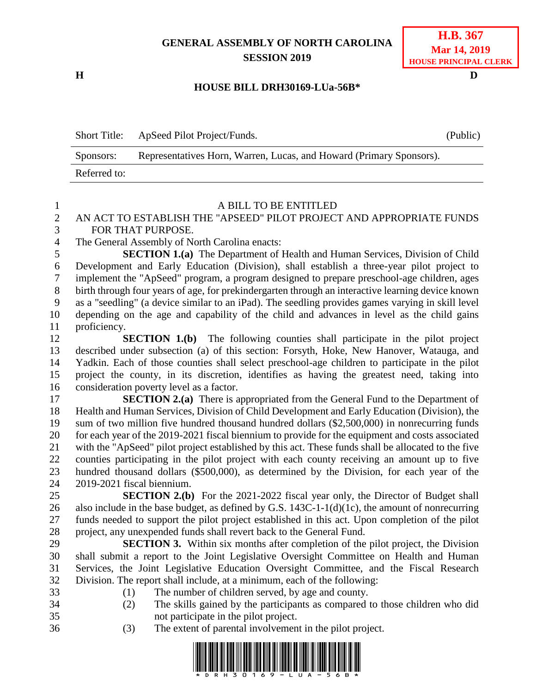# **GENERAL ASSEMBLY OF NORTH CAROLINA SESSION 2019**

**H D**

## **H.B. 367 Mar 14, 2019 HOUSE PRINCIPAL CLERK**

## **HOUSE BILL DRH30169-LUa-56B\***

Short Title: ApSeed Pilot Project/Funds. (Public) Sponsors: Representatives Horn, Warren, Lucas, and Howard (Primary Sponsors). Referred to:

### 1 A BILL TO BE ENTITLED<br>2 AN ACT TO ESTABLISH THE "APSEED" PILOT PROJECT AN ACT TO ESTABLISH THE "APSEED" PILOT PROJECT AND APPROPRIATE FUNDS FOR THAT PURPOSE.

The General Assembly of North Carolina enacts:

 **SECTION 1.(a)** The Department of Health and Human Services, Division of Child Development and Early Education (Division), shall establish a three-year pilot project to implement the "ApSeed" program, a program designed to prepare preschool-age children, ages birth through four years of age, for prekindergarten through an interactive learning device known as a "seedling" (a device similar to an iPad). The seedling provides games varying in skill level depending on the age and capability of the child and advances in level as the child gains proficiency.

 **SECTION 1.(b)** The following counties shall participate in the pilot project described under subsection (a) of this section: Forsyth, Hoke, New Hanover, Watauga, and Yadkin. Each of those counties shall select preschool-age children to participate in the pilot project the county, in its discretion, identifies as having the greatest need, taking into consideration poverty level as a factor.

 **SECTION 2.(a)** There is appropriated from the General Fund to the Department of Health and Human Services, Division of Child Development and Early Education (Division), the sum of two million five hundred thousand hundred dollars (\$2,500,000) in nonrecurring funds for each year of the 2019-2021 fiscal biennium to provide for the equipment and costs associated with the "ApSeed" pilot project established by this act. These funds shall be allocated to the five counties participating in the pilot project with each county receiving an amount up to five hundred thousand dollars (\$500,000), as determined by the Division, for each year of the 2019-2021 fiscal biennium.

 **SECTION 2.(b)** For the 2021-2022 fiscal year only, the Director of Budget shall also include in the base budget, as defined by G.S. 143C-1-1(d)(1c), the amount of nonrecurring funds needed to support the pilot project established in this act. Upon completion of the pilot project, any unexpended funds shall revert back to the General Fund.

 **SECTION 3.** Within six months after completion of the pilot project, the Division shall submit a report to the Joint Legislative Oversight Committee on Health and Human Services, the Joint Legislative Education Oversight Committee, and the Fiscal Research Division. The report shall include, at a minimum, each of the following:

(1) The number of children served, by age and county.

- (2) The skills gained by the participants as compared to those children who did not participate in the pilot project.
- 
- (3) The extent of parental involvement in the pilot project.